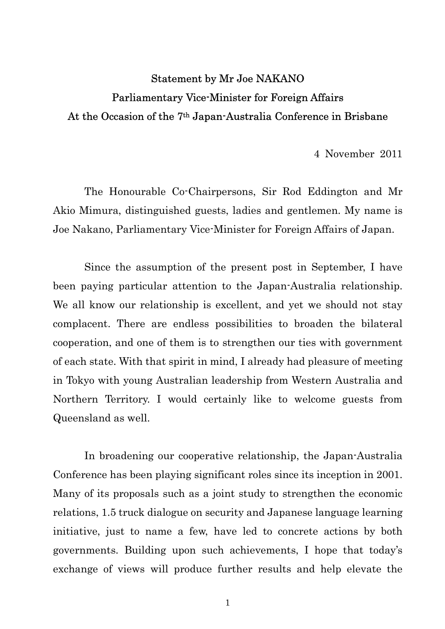## Statement by Mr Joe NAKANO Parliamentary Vice-Minister for Foreign Affairs At the Occasion of the 7th Japan-Australia Conference in Brisbane

4 November 2011

The Honourable Co-Chairpersons, Sir Rod Eddington and Mr Akio Mimura, distinguished guests, ladies and gentlemen. My name is Joe Nakano, Parliamentary Vice-Minister for Foreign Affairs of Japan.

Since the assumption of the present post in September, I have been paying particular attention to the Japan-Australia relationship. We all know our relationship is excellent, and yet we should not stay complacent. There are endless possibilities to broaden the bilateral cooperation, and one of them is to strengthen our ties with government of each state. With that spirit in mind, I already had pleasure of meeting in Tokyo with young Australian leadership from Western Australia and Northern Territory. I would certainly like to welcome guests from Queensland as well.

 In broadening our cooperative relationship, the Japan-Australia Conference has been playing significant roles since its inception in 2001. Many of its proposals such as a joint study to strengthen the economic relations, 1.5 truck dialogue on security and Japanese language learning initiative, just to name a few, have led to concrete actions by both governments. Building upon such achievements, I hope that today's exchange of views will produce further results and help elevate the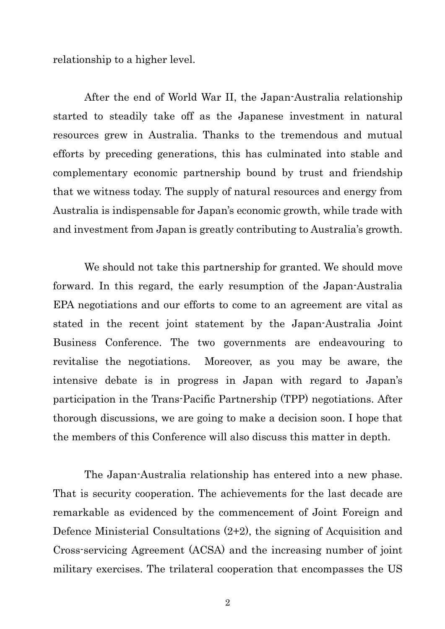relationship to a higher level.

 After the end of World War II, the Japan-Australia relationship started to steadily take off as the Japanese investment in natural resources grew in Australia. Thanks to the tremendous and mutual efforts by preceding generations, this has culminated into stable and complementary economic partnership bound by trust and friendship that we witness today. The supply of natural resources and energy from Australia is indispensable for Japan's economic growth, while trade with and investment from Japan is greatly contributing to Australia's growth.

We should not take this partnership for granted. We should move forward. In this regard, the early resumption of the Japan-Australia EPA negotiations and our efforts to come to an agreement are vital as stated in the recent joint statement by the Japan-Australia Joint Business Conference. The two governments are endeavouring to revitalise the negotiations. Moreover, as you may be aware, the intensive debate is in progress in Japan with regard to Japan's participation in the Trans-Pacific Partnership (TPP) negotiations. After thorough discussions, we are going to make a decision soon. I hope that the members of this Conference will also discuss this matter in depth.

The Japan-Australia relationship has entered into a new phase. That is security cooperation. The achievements for the last decade are remarkable as evidenced by the commencement of Joint Foreign and Defence Ministerial Consultations (2+2), the signing of Acquisition and Cross-servicing Agreement (ACSA) and the increasing number of joint military exercises. The trilateral cooperation that encompasses the US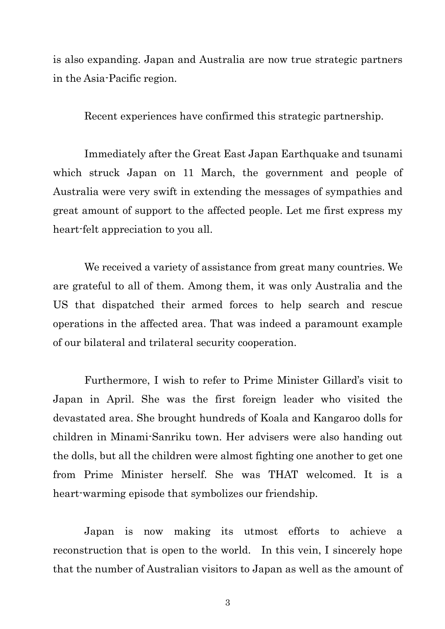is also expanding. Japan and Australia are now true strategic partners in the Asia-Pacific region.

Recent experiences have confirmed this strategic partnership.

 Immediately after the Great East Japan Earthquake and tsunami which struck Japan on 11 March, the government and people of Australia were very swift in extending the messages of sympathies and great amount of support to the affected people. Let me first express my heart-felt appreciation to you all.

 We received a variety of assistance from great many countries. We are grateful to all of them. Among them, it was only Australia and the US that dispatched their armed forces to help search and rescue operations in the affected area. That was indeed a paramount example of our bilateral and trilateral security cooperation.

 Furthermore, I wish to refer to Prime Minister Gillard's visit to Japan in April. She was the first foreign leader who visited the devastated area. She brought hundreds of Koala and Kangaroo dolls for children in Minami-Sanriku town. Her advisers were also handing out the dolls, but all the children were almost fighting one another to get one from Prime Minister herself. She was THAT welcomed. It is a heart-warming episode that symbolizes our friendship.

 Japan is now making its utmost efforts to achieve a reconstruction that is open to the world. In this vein, I sincerely hope that the number of Australian visitors to Japan as well as the amount of

3